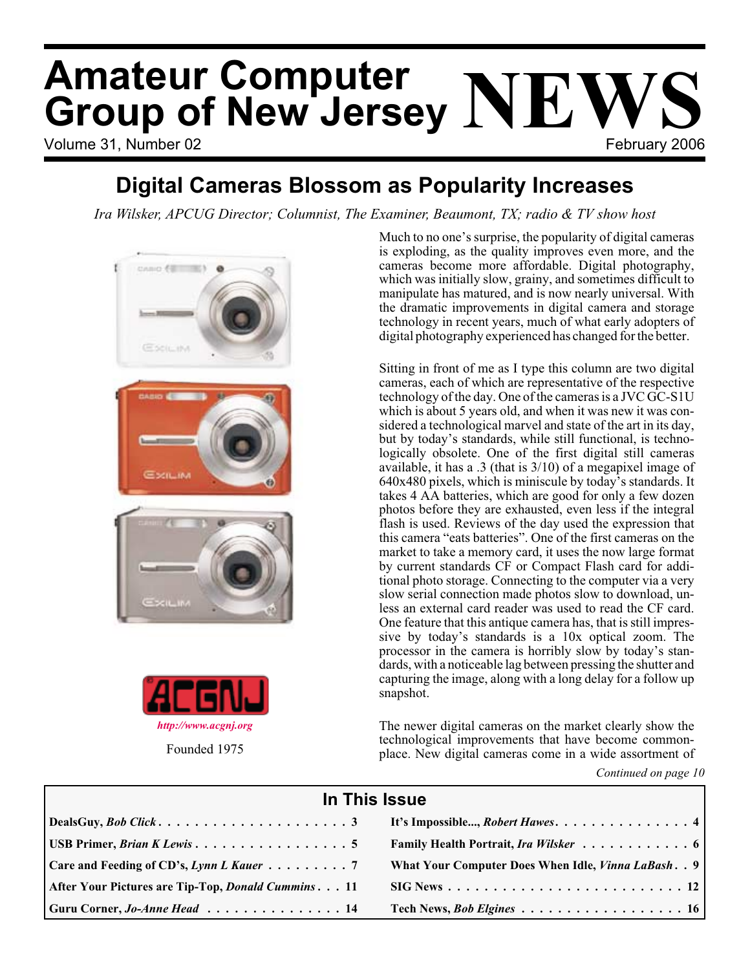# Volume 31, Number 02 **February 2006 Amateur Computer Group of New Jersey NEWS**

### **Digital Cameras Blossom as Popularity Increases**

*Ira Wilsker, APCUG Director; Columnist, The Examiner, Beaumont, TX; radio & TV show host*





Much to no one's surprise, the popularity of digital cameras is exploding, as the quality improves even more, and the cameras become more affordable. Digital photography, which was initially slow, grainy, and sometimes difficult to manipulate has matured, and is now nearly universal. With the dramatic improvements in digital camera and storage technology in recent years, much of what early adopters of digital photography experienced has changed for the better.

Sitting in front of me as I type this column are two digital cameras, each of which are representative of the respective technology of the day. One of the cameras is a JVC GC-S1U which is about 5 years old, and when it was new it was considered a technological marvel and state of the art in its day, but by today's standards, while still functional, is technologically obsolete. One of the first digital still cameras available, it has a .3 (that is 3/10) of a megapixel image of 640x480 pixels, which is miniscule by today's standards. It takes 4 AA batteries, which are good for only a few dozen photos before they are exhausted, even less if the integral flash is used. Reviews of the day used the expression that this camera "eats batteries". One of the first cameras on the market to take a memory card, it uses the now large format by current standards CF or Compact Flash card for additional photo storage. Connecting to the computer via a very slow serial connection made photos slow to download, unless an external card reader was used to read the CF card. One feature that this antique camera has, that is still impressive by today's standards is a 10x optical zoom. The processor in the camera is horribly slow by today's standards, with a noticeable lag between pressing the shutter and capturing the image, along with a long delay for a follow up snapshot.

The newer digital cameras on the market clearly show the technological improvements that have become commonplace. New digital cameras come in a wide assortment of

*Continued on page 10*

| In This Issue                                                   |                                                             |  |  |  |
|-----------------------------------------------------------------|-------------------------------------------------------------|--|--|--|
|                                                                 |                                                             |  |  |  |
| USB Primer, <i>Brian K Lewis</i> 5                              | Family Health Portrait, Ira Wilsker 6                       |  |  |  |
| Care and Feeding of CD's, Lynn L Kauer $\ldots \ldots \ldots$ 7 | What Your Computer Does When Idle, <i>Vinna LaBash.</i> . 9 |  |  |  |
| After Your Pictures are Tip-Top, <i>Donald Cummins</i> 11       |                                                             |  |  |  |
| Guru Corner, <i>Jo-Anne Head</i> 14                             | Tech News, <i>Bob Elgines</i> 16                            |  |  |  |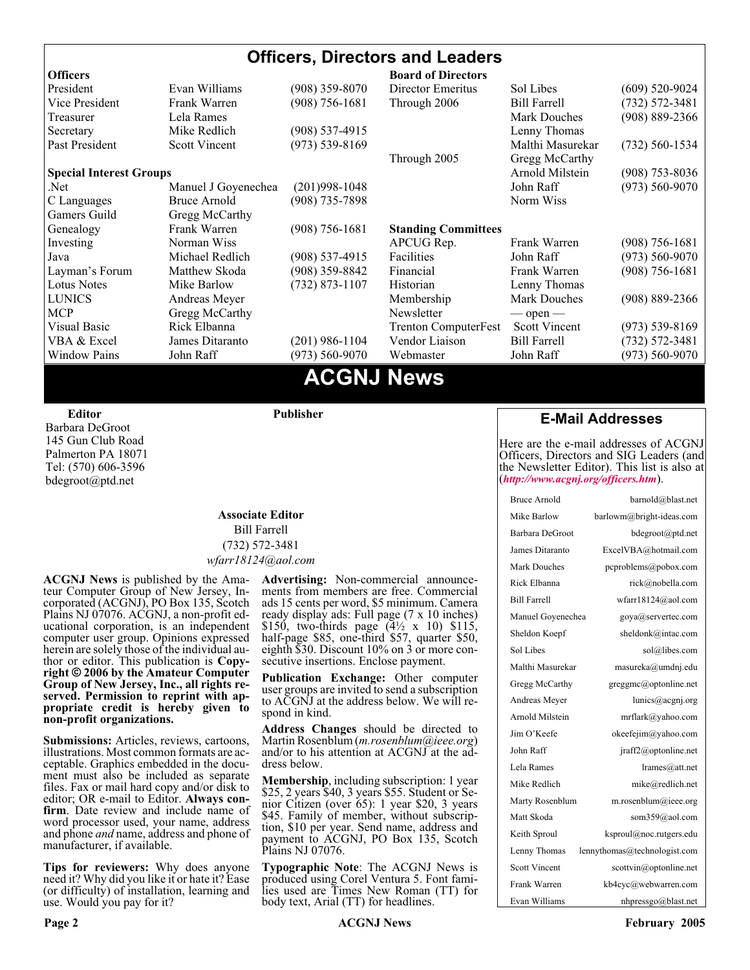#### **Officers, Directors and Leaders Officers Board of Directors**<br> **President** Evan Williams (908) 359-8070 Director Emeritus (908) 359-8070 Director Emeritus Sol Libes (609) 520-9024 Vice President Frank Warren (908) 756-1681 Through 2006 Bill Farrell (732) 572-3481 Treasurer Lela Rames Lela Annes (908) 889-2366 Secretary Mike Redlich (908) 537-4915 Lenny Thomas Past President Scott Vincent (973) 539-8169 Malthi Masurekar (732) 560-1534 Through 2005 Gregg McCarthy **Special Interest Groups Arnold Milstein** (908) 753-8036 Net 1973) Manuel J Goyenechea (201)998-1048<br>C Languages Bruce Arnold (908) 735-7898 100 Norm Wiss C Languages Bruce Arnold (908) 735-7898 Gamers Guild Gregg McCarthy Genealogy Frank Warren (908) 756-1681 **Standing Committees** Investing Norman Wiss APCUG Rep. Frank Warren (908) 756-1681<br>Java Michael Redlich (908) 537-4915 Facilities John Raff (973) 560-9070 Java Michael Redlich (908) 537-4915 Facilities John Raff (973) 560-9070 Layman's Forum Matthew Skoda (908) 359-8842 Financial Frank Warren (908) 756-1681 Lotus Notes Mike Barlow (732) 873-1107 Historian Lenny Thomas LUNICS Andreas Meyer Membership Mark Douches (908) 889-2366 MCP Gregg McCarthy Newsletter — open — Visual Basic Rick Elbanna Trenton ComputerFest Scott Vincent (973) 539-8169 VBA & Excel James Ditaranto (201) 986-1104 Vendor Liaison Bill Farrell (732) 572-3481 Window Pains John Raff (973) 560-9070 Webmaster John Raff (973) 560-9070

### **ACGNJ News**

**Editor**

Barbara DeGroot 145 Gun Club Road Palmerton PA 18071 Tel: (570) 606-3596 bdegroot@ptd.net

#### **Associate Editor** Bill Farrell (732) 572-3481 *wfarr18124@aol.com*

**Publisher**

**ACGNJ News** is published by the Ama- teur Computer Group of New Jersey, In- corporated (ACGNJ), PO Box 135, Scotch Plains NJ 07076. ACGNJ, a non-profit ed-<br>ucational corporation, is an independent computer user group. Opinions expressed<br>herein are solely those of the individual author or editor. This publication is **Copy-**<br>right © 2006 by the Amateur Computer<br>Group of New Jersey, Inc., all rights re-**Group of New Jersey, Inc., all rights re- served. Permission to reprint with ap- propriate credit is hereby given to non-profit organizations.**

**Submissions:** Articles, reviews, cartoons, illustrations. Most common formats are acceptable. Graphics embedded in the docu-<br>ment must also be included as separate files. Fax or mail hard copy and/or disk to editor: OR e-mail to Editor. **Always con**firm. Date review and include name of word processor used, your name, address and phone *and* name, address and phone of manufacturer, if available.

**Tips for reviewers:** Why does anyone need it? Why did you like it or hate it? Ease (or difficulty) of installation, learning and use. Would you pay for it?

**Advertising:** Non-commercial announce- ments from members are free. Commercial ads 15 cents per word, \$5 minimum. Camera ready display ads: Full page (7 x 10 inches) \$150, two-thirds page (4½ x 10) \$115, half-page \$85, one-third \$57, quarter \$50, eighth \$30. Discount 10% on 3 or more con- secutive insertions. Enclose payment.

**Publication Exchange:** Other computer user groups are invited to send a subscription to ACGNJ at the address below. We will re- spond in kind.

**Address Changes** should be directed to Martin Rosenblum (*m.rosenblum@ieee.org*) and/or to his attention at ACGNJ at the ad- dress below.

**Membership**, including subscription: 1 year \$25, 2 years \$40, 3 years \$55. Student or Senior Citizen (over 65): 1 year \$20, 3 years \$45. Family of member, without subscription, \$10 per year. Send name, address and payment to ACGNJ, PO Box 135, Scotch Plains NJ 07076.

**Typographic Note**: The ACGNJ News is produced using Corel Ventura 5. Font fami- lies used are Times New Roman (TT) for body text, Arial (TT) for headlines.

#### **E-Mail Addresses**

Here are the e-mail addresses of ACGNJ Officers, Directors and SIG Leaders (and the Newsletter Editor). This list is also at (*<http://www.acgnj.org/officers.htm>*).

| Bruce Arnold         | barnold@blast.net            |
|----------------------|------------------------------|
| Mike Barlow          | barlowm@bright-ideas.com     |
| Barbara DeGroot      | bdegroot@ptd.net             |
| James Ditaranto      | ExcelVBA@hotmail.com         |
| Mark Douches         | pcproblems@pobox.com         |
| Rick Elbanna         | rick@nobella.com             |
| <b>Bill Farrell</b>  | wfarr18124@aol.com           |
| Manuel Govenechea    | goya@servertec.com           |
| Sheldon Koepf        | sheldonk@intac.com           |
| Sol Libes            | sol@libes.com                |
| Malthi Masurekar     | masureka@umdnj.edu           |
| Gregg McCarthy       | greggmc@optonline.net        |
| Andreas Meyer        | lunics@acgnj.org             |
| Arnold Milstein      | mrflark@yahoo.com            |
| Jim O'Keefe          | okeefejim@yahoo.com          |
| John Raff            | jraff2@optonline.net         |
| Lela Rames           | lrames@att.net               |
| Mike Redlich         | mike@redlich.net             |
| Marty Rosenblum      | $m$ .rosenblum@ieee.org      |
| Matt Skoda           | som359@aol.com               |
| Keith Sproul         | ksproul@noc.rutgers.edu      |
| Lenny Thomas         | lennythomas@technologist.com |
| <b>Scott Vincent</b> | scottvin@optonline.net       |
| Frank Warren         | kb4cyc@webwarren.com         |
| Evan Williams        | nhpressgo@blast.net          |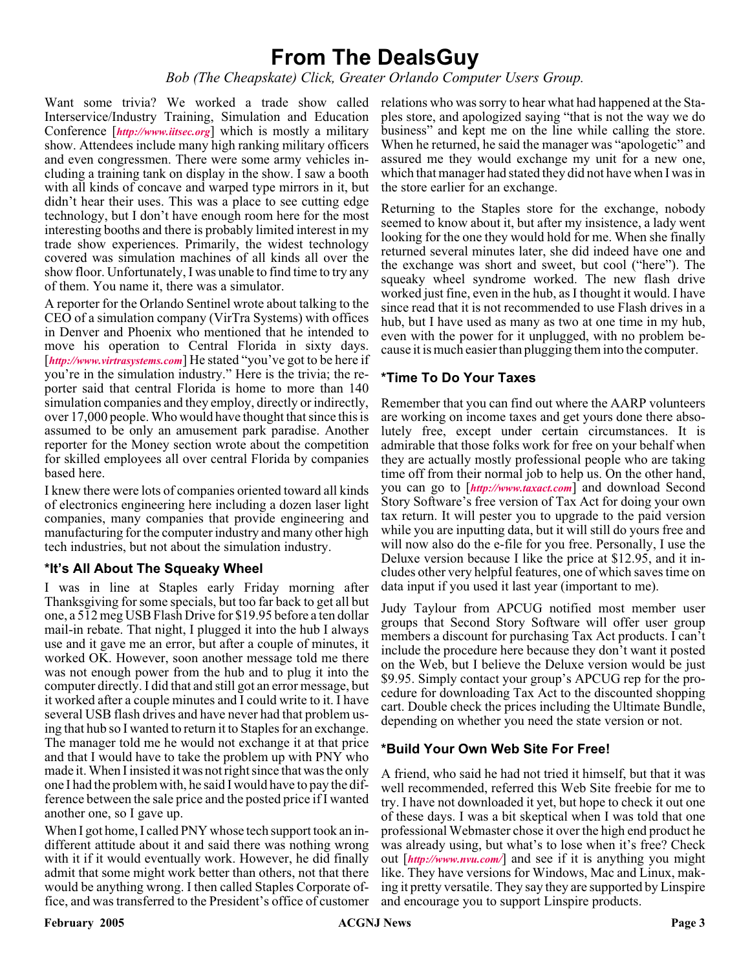### **From The DealsGuy**

*Bob (The Cheapskate) Click, Greater Orlando Computer Users Group.*

Want some trivia? We worked a trade show called relations who was sorry to hear what had happened at the Sta-Interservice/Industry Training, Simulation and Education Conference [*<http://www.iitsec.org>*] which is mostly a military show. Attendees include many high ranking military officers and even congressmen. There were some army vehicles including a training tank on display in the show. I saw a booth with all kinds of concave and warped type mirrors in it, but didn't hear their uses. This was a place to see cutting edge technology, but I don't have enough room here for the most interesting booths and there is probably limited interest in my trade show experiences. Primarily, the widest technology covered was simulation machines of all kinds all over the show floor. Unfortunately, I was unable to find time to try any of them. You name it, there was a simulator.

A reporter for the Orlando Sentinel wrote about talking to the CEO of a simulation company (VirTra Systems) with offices in Denver and Phoenix who mentioned that he intended to move his operation to Central Florida in sixty days. [<http://www.virtrasystems.com>] He stated "you've got to be here if you're in the simulation industry." Here is the trivia; the reporter said that central Florida is home to more than 140 simulation companies and they employ, directly or indirectly, over 17,000 people. Who would have thought that since this is assumed to be only an amusement park paradise. Another reporter for the Money section wrote about the competition for skilled employees all over central Florida by companies based here.

I knew there were lots of companies oriented toward all kinds of electronics engineering here including a dozen laser light companies, many companies that provide engineering and manufacturing for the computer industry and many other high tech industries, but not about the simulation industry.

#### **\*It's All About The Squeaky Wheel**

I was in line at Staples early Friday morning after Thanksgiving for some specials, but too far back to get all but one, a 512 meg USB Flash Drive for \$19.95 before a ten dollar mail-in rebate. That night, I plugged it into the hub I always use and it gave me an error, but after a couple of minutes, it worked OK. However, soon another message told me there was not enough power from the hub and to plug it into the computer directly. I did that and still got an error message, but it worked after a couple minutes and I could write to it. I have several USB flash drives and have never had that problem using that hub so I wanted to return it to Staples for an exchange. The manager told me he would not exchange it at that price and that I would have to take the problem up with PNY who made it. When I insisted it was not right since that was the only one I had the problem with, he said I would have to pay the difference between the sale price and the posted price if I wanted another one, so I gave up.

When I got home, I called PNY whose tech support took an indifferent attitude about it and said there was nothing wrong with it if it would eventually work. However, he did finally admit that some might work better than others, not that there would be anything wrong. I then called Staples Corporate office, and was transferred to the President's office of customer

ples store, and apologized saying "that is not the way we do business" and kept me on the line while calling the store. When he returned, he said the manager was "apologetic" and assured me they would exchange my unit for a new one, which that manager had stated they did not have when I was in the store earlier for an exchange.

Returning to the Staples store for the exchange, nobody seemed to know about it, but after my insistence, a lady went looking for the one they would hold for me. When she finally returned several minutes later, she did indeed have one and the exchange was short and sweet, but cool ("here"). The squeaky wheel syndrome worked. The new flash drive worked just fine, even in the hub, as I thought it would. I have since read that it is not recommended to use Flash drives in a hub, but I have used as many as two at one time in my hub, even with the power for it unplugged, with no problem because it is much easier than plugging them into the computer.

#### **\*Time To Do Your Taxes**

Remember that you can find out where the AARP volunteers are working on income taxes and get yours done there absolutely free, except under certain circumstances. It is admirable that those folks work for free on your behalf when they are actually mostly professional people who are taking time off from their normal job to help us. On the other hand, you can go to [*<http://www.taxact.com>*] and download Second Story Software's free version of Tax Act for doing your own tax return. It will pester you to upgrade to the paid version while you are inputting data, but it will still do yours free and will now also do the e-file for you free. Personally, I use the Deluxe version because I like the price at \$12.95, and it includes other very helpful features, one of which saves time on data input if you used it last year (important to me).

Judy Taylour from APCUG notified most member user groups that Second Story Software will offer user group members a discount for purchasing Tax Act products. I can't include the procedure here because they don't want it posted on the Web, but I believe the Deluxe version would be just \$9.95. Simply contact your group's APCUG rep for the procedure for downloading Tax Act to the discounted shopping cart. Double check the prices including the Ultimate Bundle, depending on whether you need the state version or not.

#### **\*Build Your Own Web Site For Free!**

A friend, who said he had not tried it himself, but that it was well recommended, referred this Web Site freebie for me to try. I have not downloaded it yet, but hope to check it out one of these days. I was a bit skeptical when I was told that one professional Webmaster chose it over the high end product he was already using, but what's to lose when it's free? Check out [*<http://www.nvu.com/>*] and see if it is anything you might like. They have versions for Windows, Mac and Linux, making it pretty versatile. They say they are supported by Linspire and encourage you to support Linspire products.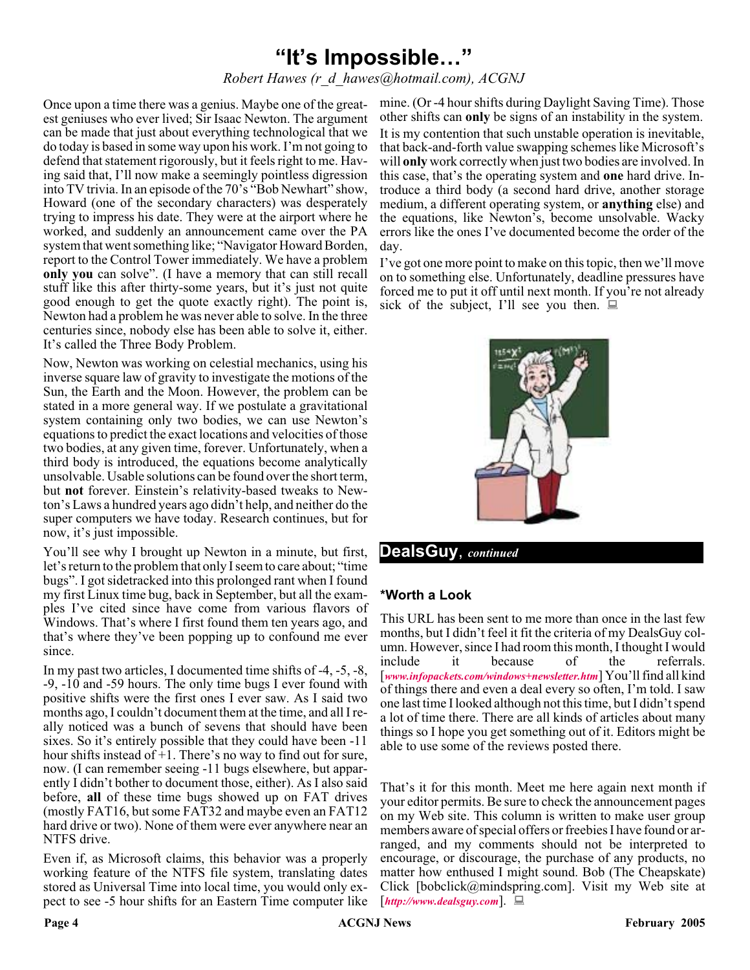### **"It's Impossible…"**

#### *Robert Hawes (r\_d\_hawes@hotmail.com), ACGNJ*

est geniuses who ever lived; Sir Isaac Newton. The argument can be made that just about everything technological that we do today is based in some way upon his work. I'm not going to defend that statement rigorously, but it feels right to me. Having said that, I'll now make a seemingly pointless digression into TV trivia. In an episode of the 70's "Bob Newhart" show, Howard (one of the secondary characters) was desperately trying to impress his date. They were at the airport where he worked, and suddenly an announcement came over the PA system that went something like; "Navigator Howard Borden, report to the Control Tower immediately. We have a problem **only you** can solve". (I have a memory that can still recall stuff like this after thirty-some years, but it's just not quite good enough to get the quote exactly right). The point is, Newton had a problem he was never able to solve. In the three centuries since, nobody else has been able to solve it, either. It's called the Three Body Problem.

Now, Newton was working on celestial mechanics, using his inverse square law of gravity to investigate the motions of the Sun, the Earth and the Moon. However, the problem can be stated in a more general way. If we postulate a gravitational system containing only two bodies, we can use Newton's equations to predict the exact locations and velocities of those two bodies, at any given time, forever. Unfortunately, when a third body is introduced, the equations become analytically unsolvable. Usable solutions can be found over the short term, but **not** forever. Einstein's relativity-based tweaks to Newton's Laws a hundred years ago didn't help, and neither do the super computers we have today. Research continues, but for now, it's just impossible.

You'll see why I brought up Newton in a minute, but first, let's return to the problem that only I seem to care about; "time bugs". I got sidetracked into this prolonged rant when I found my first Linux time bug, back in September, but all the examples I've cited since have come from various flavors of Windows. That's where I first found them ten years ago, and that's where they've been popping up to confound me ever since.

In my past two articles, I documented time shifts of -4, -5, -8, -9, -10 and -59 hours. The only time bugs I ever found with positive shifts were the first ones I ever saw. As I said two months ago, I couldn't document them at the time, and all I really noticed was a bunch of sevens that should have been sixes. So it's entirely possible that they could have been -11 hour shifts instead of +1. There's no way to find out for sure, now. (I can remember seeing -11 bugs elsewhere, but apparently I didn't bother to document those, either). As I also said before, **all** of these time bugs showed up on FAT drives (mostly FAT16, but some FAT32 and maybe even an FAT12 hard drive or two). None of them were ever anywhere near an NTFS drive.

Even if, as Microsoft claims, this behavior was a properly working feature of the NTFS file system, translating dates stored as Universal Time into local time, you would only expect to see -5 hour shifts for an Eastern Time computer like

Once upon a time there was a genius. Maybe one of the great-mine. (Or -4 hour shifts during Daylight Saving Time). Those other shifts can **only** be signs of an instability in the system. It is my contention that such unstable operation is inevitable, that back-and-forth value swapping schemes like Microsoft's will **only** work correctly when just two bodies are involved. In this case, that's the operating system and **one** hard drive. Introduce a third body (a second hard drive, another storage medium, a different operating system, or **anything** else) and the equations, like Newton's, become unsolvable. Wacky errors like the ones I've documented become the order of the day.

> I've got one more point to make on this topic, then we'll move on to something else. Unfortunately, deadline pressures have forced me to put it off until next month. If you're not already sick of the subject, I'll see you then.  $\Box$



#### **DealsGuy**, *continued*

#### **\*Worth a Look**

This URL has been sent to me more than once in the last few months, but I didn't feel it fit the criteria of my DealsGuy column. However, since I had room this month, I thought I would include it because of the referrals. [*[www.infopackets.com/windows+newsletter.htm](http://www.infopackets.com/windows+newsletter.htm)*] You'll find all kind of things there and even a deal every so often, I'm told. I saw one last time I looked although not this time, but I didn't spend a lot of time there. There are all kinds of articles about many things so I hope you get something out of it. Editors might be able to use some of the reviews posted there.

That's it for this month. Meet me here again next month if your editor permits. Be sure to check the announcement pages on my Web site. This column is written to make user group members aware of special offers or freebies I have found or arranged, and my comments should not be interpreted to encourage, or discourage, the purchase of any products, no matter how enthused I might sound. Bob (The Cheapskate) Click [bobclick@mindspring.com]. Visit my Web site at [*<http://www.dealsguy.com>*].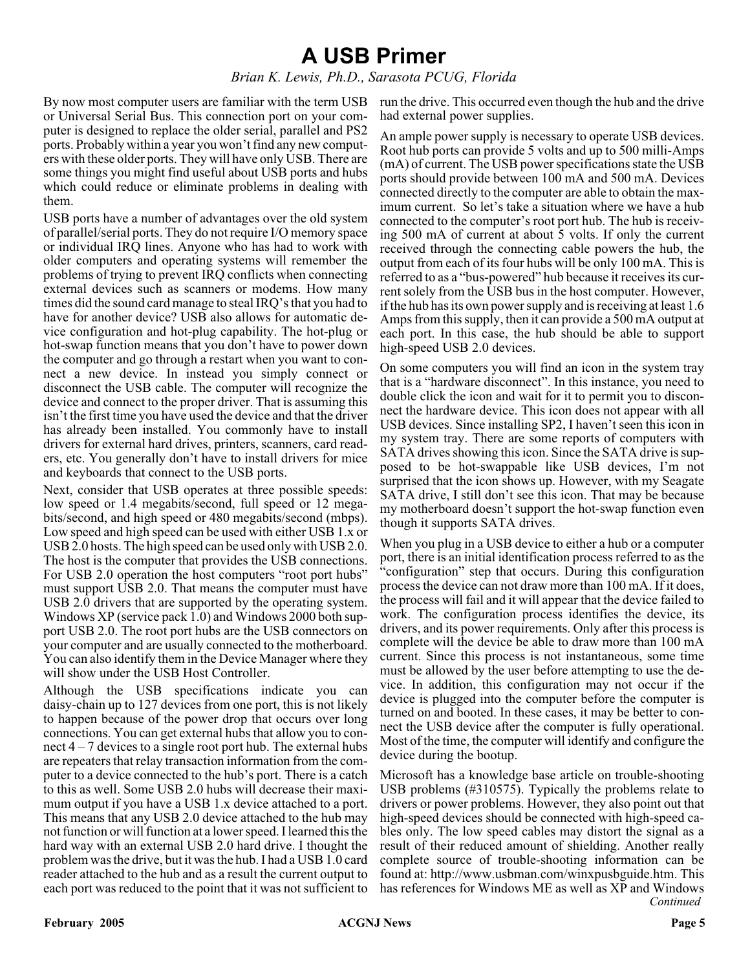### **A USB Primer**

#### *Brian K. Lewis, Ph.D., Sarasota PCUG, Florida*

By now most computer users are familiar with the term USB or Universal Serial Bus. This connection port on your computer is designed to replace the older serial, parallel and PS2 ports. Probably within a year you won't find any new computers with these older ports. They will have only USB. There are some things you might find useful about USB ports and hubs which could reduce or eliminate problems in dealing with them.

USB ports have a number of advantages over the old system of parallel/serial ports. They do not require I/O memory space or individual IRQ lines. Anyone who has had to work with older computers and operating systems will remember the problems of trying to prevent IRQ conflicts when connecting external devices such as scanners or modems. How many times did the sound card manage to steal IRQ's that you had to have for another device? USB also allows for automatic device configuration and hot-plug capability. The hot-plug or hot-swap function means that you don't have to power down the computer and go through a restart when you want to connect a new device. In instead you simply connect or disconnect the USB cable. The computer will recognize the device and connect to the proper driver. That is assuming this isn't the first time you have used the device and that the driver has already been installed. You commonly have to install drivers for external hard drives, printers, scanners, card readers, etc. You generally don't have to install drivers for mice and keyboards that connect to the USB ports.

Next, consider that USB operates at three possible speeds: low speed or 1.4 megabits/second, full speed or 12 megabits/second, and high speed or 480 megabits/second (mbps). Low speed and high speed can be used with either USB 1.x or USB 2.0 hosts. The high speed can be used only with USB 2.0. The host is the computer that provides the USB connections. For USB 2.0 operation the host computers "root port hubs" must support USB 2.0. That means the computer must have USB 2.0 drivers that are supported by the operating system. Windows XP (service pack 1.0) and Windows 2000 both support USB 2.0. The root port hubs are the USB connectors on your computer and are usually connected to the motherboard. You can also identify them in the Device Manager where they will show under the USB Host Controller.

Although the USB specifications indicate you can daisy-chain up to 127 devices from one port, this is not likely to happen because of the power drop that occurs over long connections. You can get external hubs that allow you to connect  $4 - 7$  devices to a single root port hub. The external hubs are repeaters that relay transaction information from the computer to a device connected to the hub's port. There is a catch to this as well. Some USB 2.0 hubs will decrease their maximum output if you have a USB 1.x device attached to a port. This means that any USB 2.0 device attached to the hub may not function or will function at a lower speed. I learned this the hard way with an external USB 2.0 hard drive. I thought the problem was the drive, but it was the hub. I had a USB 1.0 card reader attached to the hub and as a result the current output to each port was reduced to the point that it was not sufficient to

run the drive. This occurred even though the hub and the drive had external power supplies.

An ample power supply is necessary to operate USB devices. Root hub ports can provide 5 volts and up to 500 milli-Amps (mA) of current. The USB power specifications state the USB ports should provide between 100 mA and 500 mA. Devices connected directly to the computer are able to obtain the maximum current. So let's take a situation where we have a hub connected to the computer's root port hub. The hub is receiving 500 mA of current at about 5 volts. If only the current received through the connecting cable powers the hub, the output from each of its four hubs will be only 100 mA. This is referred to as a "bus-powered" hub because it receives its current solely from the USB bus in the host computer. However, if the hub has its own power supply and is receiving at least 1.6 Amps from this supply, then it can provide a 500 mA output at each port. In this case, the hub should be able to support high-speed USB 2.0 devices.

On some computers you will find an icon in the system tray that is a "hardware disconnect". In this instance, you need to double click the icon and wait for it to permit you to disconnect the hardware device. This icon does not appear with all USB devices. Since installing SP2, I haven't seen this icon in my system tray. There are some reports of computers with SATA drives showing this icon. Since the SATA drive is supposed to be hot-swappable like USB devices, I'm not surprised that the icon shows up. However, with my Seagate SATA drive, I still don't see this icon. That may be because my motherboard doesn't support the hot-swap function even though it supports SATA drives.

When you plug in a USB device to either a hub or a computer port, there is an initial identification process referred to as the "configuration" step that occurs. During this configuration process the device can not draw more than 100 mA. If it does, the process will fail and it will appear that the device failed to work. The configuration process identifies the device, its drivers, and its power requirements. Only after this process is complete will the device be able to draw more than 100 mA current. Since this process is not instantaneous, some time must be allowed by the user before attempting to use the device. In addition, this configuration may not occur if the device is plugged into the computer before the computer is turned on and booted. In these cases, it may be better to connect the USB device after the computer is fully operational. Most of the time, the computer will identify and configure the device during the bootup.

*Continued* Microsoft has a knowledge base article on trouble-shooting USB problems (#310575). Typically the problems relate to drivers or power problems. However, they also point out that high-speed devices should be connected with high-speed cables only. The low speed cables may distort the signal as a result of their reduced amount of shielding. Another really complete source of trouble-shooting information can be found at: http://www.usbman.com/winxpusbguide.htm. This has references for Windows ME as well as XP and Windows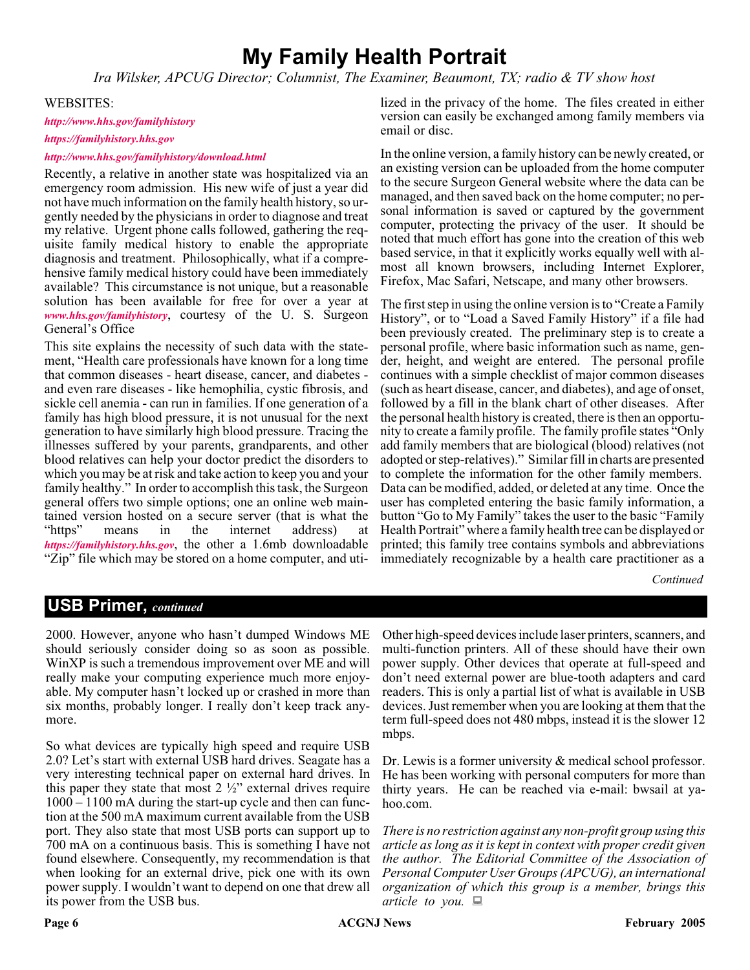### **My Family Health Portrait**

*Ira Wilsker, APCUG Director; Columnist, The Examiner, Beaumont, TX; radio & TV show host*

#### WEBSITES:

#### *<http://www.hhs.gov/familyhistory>*

#### *[https://familyhistory.hhs.gov](http://)*

#### *<http://www.hhs.gov/familyhistory/download.html>*

Recently, a relative in another state was hospitalized via an emergency room admission. His new wife of just a year did not have much information on the family health history, so urgently needed by the physicians in order to diagnose and treat my relative. Urgent phone calls followed, gathering the requisite family medical history to enable the appropriate diagnosis and treatment. Philosophically, what if a comprehensive family medical history could have been immediately available? This circumstance is not unique, but a reasonable solution has been available for free for over a year at *[www.hhs.gov/familyhistory](http://www.hhs.gov/familyhistory)*, courtesy of the U. S. Surgeon General's Office

This site explains the necessity of such data with the statement, "Health care professionals have known for a long time that common diseases - heart disease, cancer, and diabetes and even rare diseases - like hemophilia, cystic fibrosis, and sickle cell anemia - can run in families. If one generation of a family has high blood pressure, it is not unusual for the next generation to have similarly high blood pressure. Tracing the illnesses suffered by your parents, grandparents, and other blood relatives can help your doctor predict the disorders to which you may be at risk and take action to keep you and your family healthy." In order to accomplish this task, the Surgeon general offers two simple options; one an online web maintained version hosted on a secure server (that is what the "https" means in the internet address) at means in the internet address) at *[https://familyhistory.hhs.gov](http://)*, the other a 1.6mb downloadable "Zip" file which may be stored on a home computer, and uti-

lized in the privacy of the home. The files created in either version can easily be exchanged among family members via email or disc.

In the online version, a family history can be newly created, or an existing version can be uploaded from the home computer to the secure Surgeon General website where the data can be managed, and then saved back on the home computer; no personal information is saved or captured by the government computer, protecting the privacy of the user. It should be noted that much effort has gone into the creation of this web based service, in that it explicitly works equally well with almost all known browsers, including Internet Explorer, Firefox, Mac Safari, Netscape, and many other browsers.

The first step in using the online version is to "Create a Family History", or to "Load a Saved Family History" if a file had been previously created. The preliminary step is to create a personal profile, where basic information such as name, gender, height, and weight are entered. The personal profile continues with a simple checklist of major common diseases (such as heart disease, cancer, and diabetes), and age of onset, followed by a fill in the blank chart of other diseases. After the personal health history is created, there is then an opportunity to create a family profile. The family profile states "Only add family members that are biological (blood) relatives (not adopted or step-relatives)." Similar fill in charts are presented to complete the information for the other family members. Data can be modified, added, or deleted at any time. Once the user has completed entering the basic family information, a button "Go to My Family" takes the user to the basic "Family Health Portrait" where a family health tree can be displayed or printed; this family tree contains symbols and abbreviations immediately recognizable by a health care practitioner as a

#### *Continued*

#### **USB Primer,** *continued*

2000. However, anyone who hasn't dumped Windows ME should seriously consider doing so as soon as possible. WinXP is such a tremendous improvement over ME and will really make your computing experience much more enjoyable. My computer hasn't locked up or crashed in more than six months, probably longer. I really don't keep track anymore.

So what devices are typically high speed and require USB 2.0? Let's start with external USB hard drives. Seagate has a very interesting technical paper on external hard drives. In this paper they state that most  $2 \frac{1}{2}$ " external drives require 1000 – 1100 mA during the start-up cycle and then can function at the 500 mA maximum current available from the USB port. They also state that most USB ports can support up to 700 mA on a continuous basis. This is something I have not found elsewhere. Consequently, my recommendation is that when looking for an external drive, pick one with its own power supply. I wouldn't want to depend on one that drew all its power from the USB bus.

Other high-speed devices include laser printers, scanners, and multi-function printers. All of these should have their own power supply. Other devices that operate at full-speed and don't need external power are blue-tooth adapters and card readers. This is only a partial list of what is available in USB devices. Just remember when you are looking at them that the term full-speed does not 480 mbps, instead it is the slower 12 mbps.

Dr. Lewis is a former university & medical school professor. He has been working with personal computers for more than thirty years. He can be reached via e-mail: bwsail at yahoo.com.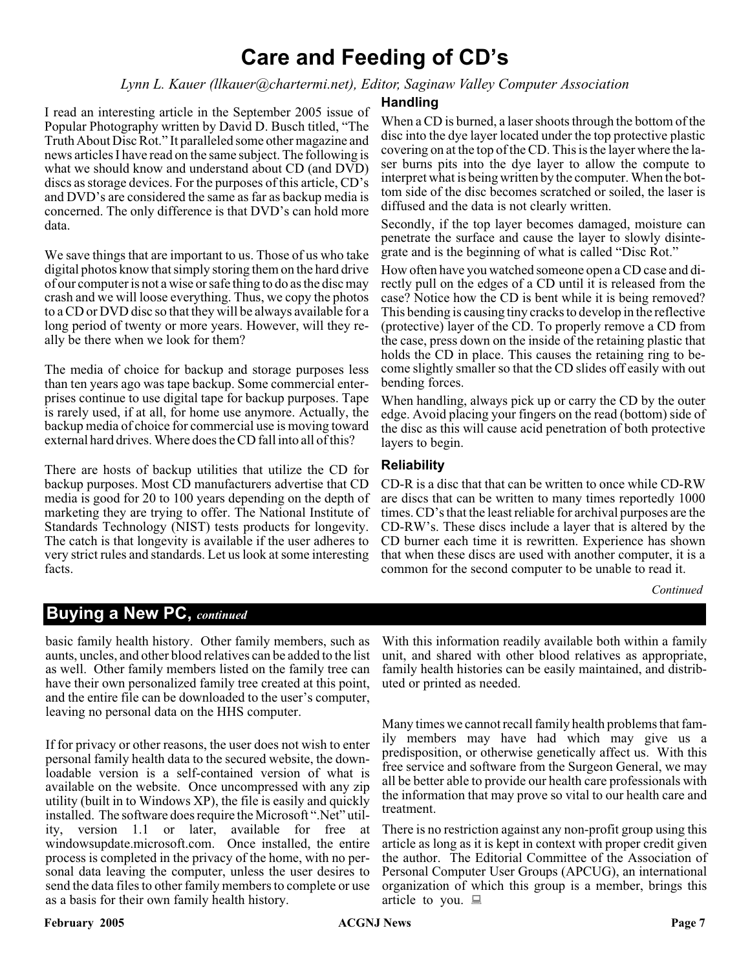### **Care and Feeding of CD's**

#### *Lynn L. Kauer (llkauer@chartermi.net), Editor, Saginaw Valley Computer Association*

I read an interesting article in the September 2005 issue of Popular Photography written by David D. Busch titled, "The Truth About Disc Rot." It paralleled some other magazine and news articles I have read on the same subject. The following is what we should know and understand about CD (and DVD) discs as storage devices. For the purposes of this article, CD's and DVD's are considered the same as far as backup media is concerned. The only difference is that DVD's can hold more data.

We save things that are important to us. Those of us who take digital photos know that simply storing them on the hard drive of our computer is not a wise or safe thing to do as the disc may crash and we will loose everything. Thus, we copy the photos to a CD or DVD disc so that they will be always available for a long period of twenty or more years. However, will they really be there when we look for them?

The media of choice for backup and storage purposes less than ten years ago was tape backup. Some commercial enterprises continue to use digital tape for backup purposes. Tape is rarely used, if at all, for home use anymore. Actually, the backup media of choice for commercial use is moving toward external hard drives. Where does the CD fall into all of this?

There are hosts of backup utilities that utilize the CD for backup purposes. Most CD manufacturers advertise that CD media is good for 20 to 100 years depending on the depth of marketing they are trying to offer. The National Institute of Standards Technology (NIST) tests products for longevity. The catch is that longevity is available if the user adheres to very strict rules and standards. Let us look at some interesting facts.

#### **Handling**

When a CD is burned, a laser shoots through the bottom of the disc into the dye layer located under the top protective plastic covering on at the top of the CD. This is the layer where the laser burns pits into the dye layer to allow the compute to interpret what is being written by the computer. When the bottom side of the disc becomes scratched or soiled, the laser is diffused and the data is not clearly written.

Secondly, if the top layer becomes damaged, moisture can penetrate the surface and cause the layer to slowly disintegrate and is the beginning of what is called "Disc Rot."

How often have you watched someone open a CD case and directly pull on the edges of a CD until it is released from the case? Notice how the CD is bent while it is being removed? This bending is causing tiny cracks to develop in the reflective (protective) layer of the CD. To properly remove a CD from the case, press down on the inside of the retaining plastic that holds the CD in place. This causes the retaining ring to become slightly smaller so that the CD slides off easily with out bending forces.

When handling, always pick up or carry the CD by the outer edge. Avoid placing your fingers on the read (bottom) side of the disc as this will cause acid penetration of both protective layers to begin.

#### **Reliability**

CD-R is a disc that that can be written to once while CD-RW are discs that can be written to many times reportedly 1000 times. CD's that the least reliable for archival purposes are the CD-RW's. These discs include a layer that is altered by the CD burner each time it is rewritten. Experience has shown that when these discs are used with another computer, it is a common for the second computer to be unable to read it.

#### *Continued*

#### **Buying a New PC,** *continued*

basic family health history. Other family members, such as aunts, uncles, and other blood relatives can be added to the list as well. Other family members listed on the family tree can have their own personalized family tree created at this point, and the entire file can be downloaded to the user's computer, leaving no personal data on the HHS computer.

If for privacy or other reasons, the user does not wish to enter personal family health data to the secured website, the downloadable version is a self-contained version of what is available on the website. Once uncompressed with any zip utility (built in to Windows XP), the file is easily and quickly installed. The software does require the Microsoft ".Net" utility, version 1.1 or later, available for free at windowsupdate.microsoft.com. Once installed, the entire process is completed in the privacy of the home, with no personal data leaving the computer, unless the user desires to send the data files to other family members to complete or use as a basis for their own family health history.

With this information readily available both within a family unit, and shared with other blood relatives as appropriate, family health histories can be easily maintained, and distributed or printed as needed.

Many times we cannot recall family health problems that family members may have had which may give us a predisposition, or otherwise genetically affect us. With this free service and software from the Surgeon General, we may all be better able to provide our health care professionals with the information that may prove so vital to our health care and treatment.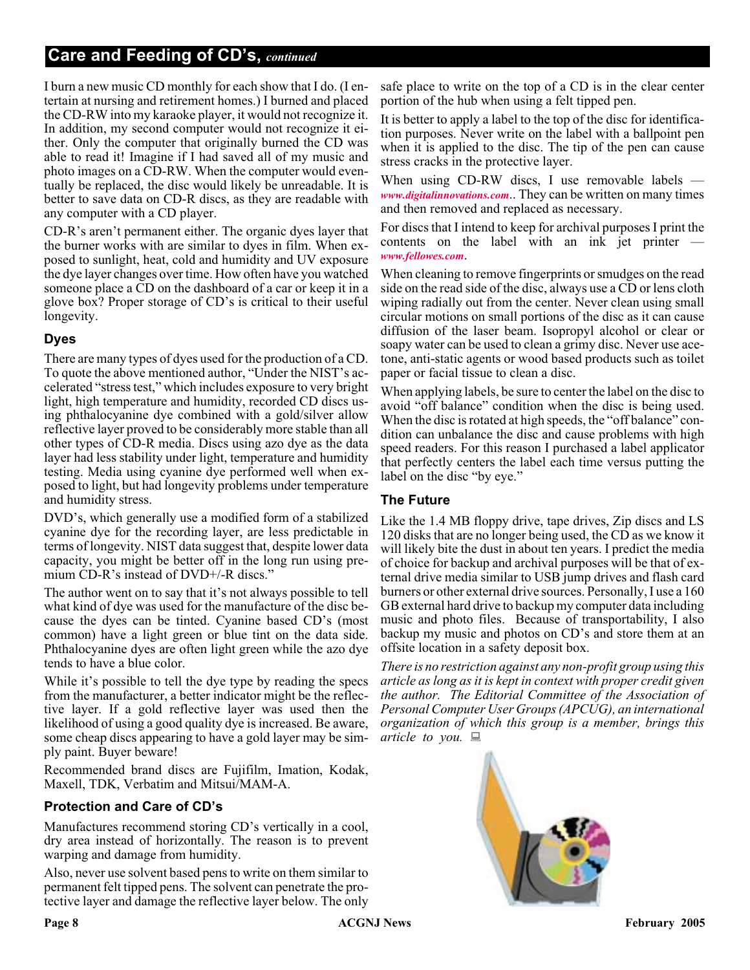I burn a new music CD monthly for each show that I do. (I entertain at nursing and retirement homes.) I burned and placed the CD-RW into my karaoke player, it would not recognize it. In addition, my second computer would not recognize it either. Only the computer that originally burned the CD was able to read it! Imagine if I had saved all of my music and photo images on a CD-RW. When the computer would eventually be replaced, the disc would likely be unreadable. It is better to save data on CD-R discs, as they are readable with any computer with a CD player.

CD-R's aren't permanent either. The organic dyes layer that the burner works with are similar to dyes in film. When exposed to sunlight, heat, cold and humidity and UV exposure the dye layer changes over time. How often have you watched someone place a CD on the dashboard of a car or keep it in a glove box? Proper storage of CD's is critical to their useful longevity.

#### **Dyes**

There are many types of dyes used for the production of a CD. To quote the above mentioned author, "Under the NIST's accelerated "stress test," which includes exposure to very bright light, high temperature and humidity, recorded CD discs using phthalocyanine dye combined with a gold/silver allow reflective layer proved to be considerably more stable than all other types of CD-R media. Discs using azo dye as the data layer had less stability under light, temperature and humidity testing. Media using cyanine dye performed well when exposed to light, but had longevity problems under temperature and humidity stress.

DVD's, which generally use a modified form of a stabilized cyanine dye for the recording layer, are less predictable in terms of longevity. NIST data suggest that, despite lower data capacity, you might be better off in the long run using premium CD-R's instead of DVD+/-R discs."

The author went on to say that it's not always possible to tell what kind of dye was used for the manufacture of the disc because the dyes can be tinted. Cyanine based CD's (most common) have a light green or blue tint on the data side. Phthalocyanine dyes are often light green while the azo dye tends to have a blue color.

While it's possible to tell the dye type by reading the specs from the manufacturer, a better indicator might be the reflective layer. If a gold reflective layer was used then the likelihood of using a good quality dye is increased. Be aware, some cheap discs appearing to have a gold layer may be simply paint. Buyer beware!

Recommended brand discs are Fujifilm, Imation, Kodak, Maxell, TDK, Verbatim and Mitsui/MAM-A.

#### **Protection and Care of CD's**

Manufactures recommend storing CD's vertically in a cool, dry area instead of horizontally. The reason is to prevent warping and damage from humidity.

Also, never use solvent based pens to write on them similar to permanent felt tipped pens. The solvent can penetrate the protective layer and damage the reflective layer below. The only

safe place to write on the top of a CD is in the clear center portion of the hub when using a felt tipped pen.

It is better to apply a label to the top of the disc for identification purposes. Never write on the label with a ballpoint pen when it is applied to the disc. The tip of the pen can cause stress cracks in the protective layer.

When using CD-RW discs, I use removable labels *[www.digitalinnovations.com](http://www.digitalinnovations.com)*.. They can be written on many times and then removed and replaced as necessary.

For discs that I intend to keep for archival purposes I print the contents on the label with an ink jet printer *[www.fellowes.com](http://www.fellowes.com)*.

When cleaning to remove fingerprints or smudges on the read side on the read side of the disc, always use a CD or lens cloth wiping radially out from the center. Never clean using small circular motions on small portions of the disc as it can cause diffusion of the laser beam. Isopropyl alcohol or clear or soapy water can be used to clean a grimy disc. Never use acetone, anti-static agents or wood based products such as toilet paper or facial tissue to clean a disc.

When applying labels, be sure to center the label on the disc to avoid "off balance" condition when the disc is being used. When the disc is rotated at high speeds, the "off balance" condition can unbalance the disc and cause problems with high speed readers. For this reason I purchased a label applicator that perfectly centers the label each time versus putting the label on the disc "by eye."

#### **The Future**

Like the 1.4 MB floppy drive, tape drives, Zip discs and LS 120 disks that are no longer being used, the CD as we know it will likely bite the dust in about ten years. I predict the media of choice for backup and archival purposes will be that of external drive media similar to USB jump drives and flash card burners or other external drive sources. Personally, I use a 160 GB external hard drive to backup my computer data including music and photo files. Because of transportability, I also backup my music and photos on CD's and store them at an offsite location in a safety deposit box.

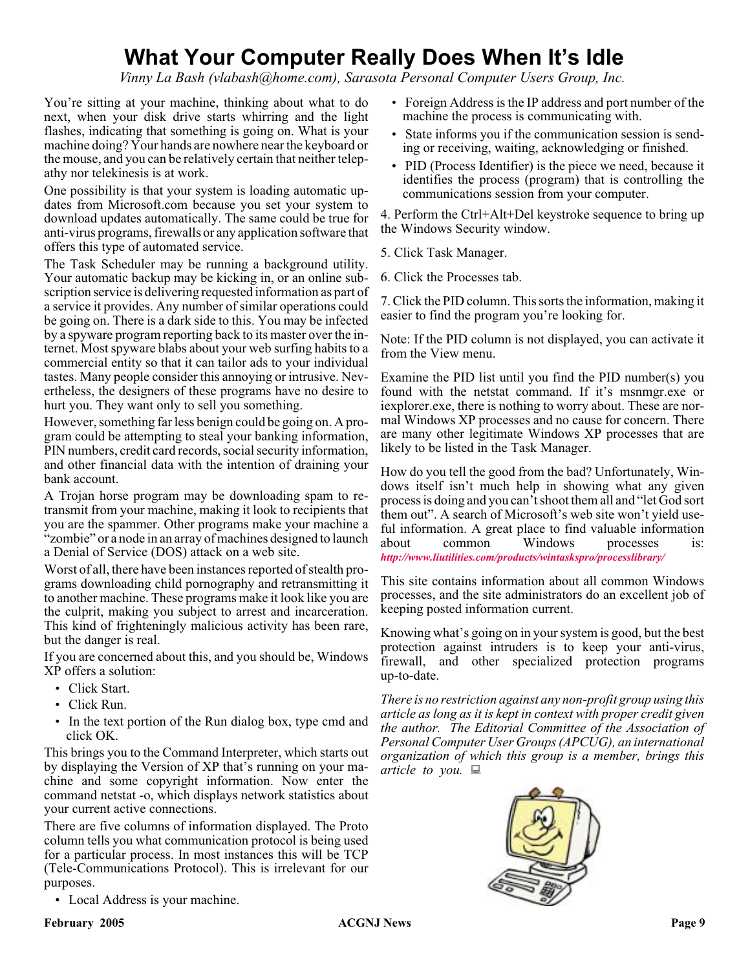### **What Your Computer Really Does When It's Idle**

*Vinny La Bash (vlabash@home.com), Sarasota Personal Computer Users Group, Inc.*

You're sitting at your machine, thinking about what to do next, when your disk drive starts whirring and the light flashes, indicating that something is going on. What is your machine doing? Your hands are nowhere near the keyboard or the mouse, and you can be relatively certain that neither telepathy nor telekinesis is at work.

One possibility is that your system is loading automatic updates from Microsoft.com because you set your system to download updates automatically. The same could be true for anti-virus programs, firewalls or any application software that offers this type of automated service.

The Task Scheduler may be running a background utility. Your automatic backup may be kicking in, or an online subscription service is delivering requested information as part of a service it provides. Any number of similar operations could be going on. There is a dark side to this. You may be infected by a spyware program reporting back to its master over the internet. Most spyware blabs about your web surfing habits to a commercial entity so that it can tailor ads to your individual tastes. Many people consider this annoying or intrusive. Nevertheless, the designers of these programs have no desire to hurt you. They want only to sell you something.

However, something far less benign could be going on. A program could be attempting to steal your banking information, PIN numbers, credit card records, social security information, and other financial data with the intention of draining your bank account.

A Trojan horse program may be downloading spam to retransmit from your machine, making it look to recipients that you are the spammer. Other programs make your machine a "zombie" or a node in an array of machines designed to launch a Denial of Service (DOS) attack on a web site.

Worst of all, there have been instances reported of stealth programs downloading child pornography and retransmitting it to another machine. These programs make it look like you are the culprit, making you subject to arrest and incarceration. This kind of frighteningly malicious activity has been rare, but the danger is real.

If you are concerned about this, and you should be, Windows XP offers a solution:

- Click Start.
- Click Run.
- In the text portion of the Run dialog box, type cmd and click OK.

This brings you to the Command Interpreter, which starts out by displaying the Version of XP that's running on your machine and some copyright information. Now enter the command netstat -o, which displays network statistics about your current active connections.

There are five columns of information displayed. The Proto column tells you what communication protocol is being used for a particular process. In most instances this will be TCP (Tele-Communications Protocol). This is irrelevant for our purposes.

• Local Address is your machine.

- Foreign Address is the IP address and port number of the machine the process is communicating with.
- State informs you if the communication session is sending or receiving, waiting, acknowledging or finished.
- PID (Process Identifier) is the piece we need, because it identifies the process (program) that is controlling the communications session from your computer.

4. Perform the Ctrl+Alt+Del keystroke sequence to bring up the Windows Security window.

- 5. Click Task Manager.
- 6. Click the Processes tab.

7. Click the PID column. This sorts the information, making it easier to find the program you're looking for.

Note: If the PID column is not displayed, you can activate it from the View menu.

Examine the PID list until you find the PID number(s) you found with the netstat command. If it's msnmgr.exe or iexplorer.exe, there is nothing to worry about. These are normal Windows XP processes and no cause for concern. There are many other legitimate Windows XP processes that are likely to be listed in the Task Manager.

How do you tell the good from the bad? Unfortunately, Windows itself isn't much help in showing what any given process is doing and you can't shoot them all and "let God sort them out". A search of Microsoft's web site won't yield useful information. A great place to find valuable information about common Windows processes is: *<http://www.liutilities.com/products/wintaskspro/processlibrary/>*

This site contains information about all common Windows processes, and the site administrators do an excellent job of keeping posted information current.

Knowing what's going on in your system is good, but the best protection against intruders is to keep your anti-virus, firewall, and other specialized protection programs up-to-date.

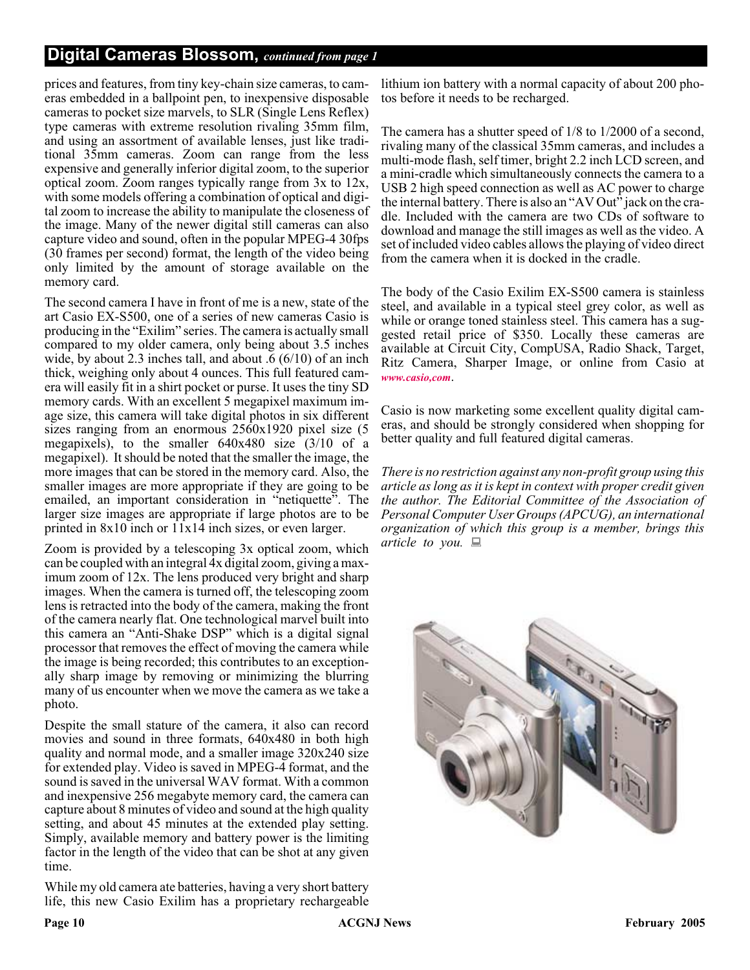#### **Digital Cameras Blossom,** *continued from page 1*

prices and features, from tiny key-chain size cameras, to cameras embedded in a ballpoint pen, to inexpensive disposable cameras to pocket size marvels, to SLR (Single Lens Reflex) type cameras with extreme resolution rivaling 35mm film, and using an assortment of available lenses, just like traditional 35mm cameras. Zoom can range from the less expensive and generally inferior digital zoom, to the superior optical zoom. Zoom ranges typically range from 3x to 12x, with some models offering a combination of optical and digital zoom to increase the ability to manipulate the closeness of the image. Many of the newer digital still cameras can also capture video and sound, often in the popular MPEG-4 30fps (30 frames per second) format, the length of the video being only limited by the amount of storage available on the memory card.

The second camera I have in front of me is a new, state of the art Casio EX-S500, one of a series of new cameras Casio is producing in the "Exilim" series. The camera is actually small compared to my older camera, only being about 3.5 inches wide, by about 2.3 inches tall, and about .6 (6/10) of an inch thick, weighing only about 4 ounces. This full featured camera will easily fit in a shirt pocket or purse. It uses the tiny SD memory cards. With an excellent 5 megapixel maximum image size, this camera will take digital photos in six different sizes ranging from an enormous 2560x1920 pixel size (5 megapixels), to the smaller 640x480 size (3/10 of a megapixel). It should be noted that the smaller the image, the more images that can be stored in the memory card. Also, the smaller images are more appropriate if they are going to be emailed, an important consideration in "netiquette". The larger size images are appropriate if large photos are to be printed in 8x10 inch or 11x14 inch sizes, or even larger.

Zoom is provided by a telescoping 3x optical zoom, which can be coupled with an integral 4x digital zoom, giving a maximum zoom of 12x. The lens produced very bright and sharp images. When the camera is turned off, the telescoping zoom lens is retracted into the body of the camera, making the front of the camera nearly flat. One technological marvel built into this camera an "Anti-Shake DSP" which is a digital signal processor that removes the effect of moving the camera while the image is being recorded; this contributes to an exceptionally sharp image by removing or minimizing the blurring many of us encounter when we move the camera as we take a photo.

Despite the small stature of the camera, it also can record movies and sound in three formats, 640x480 in both high quality and normal mode, and a smaller image 320x240 size for extended play. Video is saved in MPEG-4 format, and the sound is saved in the universal WAV format. With a common and inexpensive 256 megabyte memory card, the camera can capture about 8 minutes of video and sound at the high quality setting, and about 45 minutes at the extended play setting. Simply, available memory and battery power is the limiting factor in the length of the video that can be shot at any given time.

While my old camera ate batteries, having a very short battery life, this new Casio Exilim has a proprietary rechargeable

lithium ion battery with a normal capacity of about 200 photos before it needs to be recharged.

The camera has a shutter speed of 1/8 to 1/2000 of a second, rivaling many of the classical 35mm cameras, and includes a multi-mode flash, self timer, bright 2.2 inch LCD screen, and a mini-cradle which simultaneously connects the camera to a USB 2 high speed connection as well as AC power to charge the internal battery. There is also an "AV Out" jack on the cradle. Included with the camera are two CDs of software to download and manage the still images as well as the video. A set of included video cables allows the playing of video direct from the camera when it is docked in the cradle.

The body of the Casio Exilim EX-S500 camera is stainless steel, and available in a typical steel grey color, as well as while or orange toned stainless steel. This camera has a suggested retail price of \$350. Locally these cameras are available at Circuit City, CompUSA, Radio Shack, Target, Ritz Camera, Sharper Image, or online from Casio at *[www.casio,com](http://www.casio,com)*.

Casio is now marketing some excellent quality digital cameras, and should be strongly considered when shopping for better quality and full featured digital cameras.

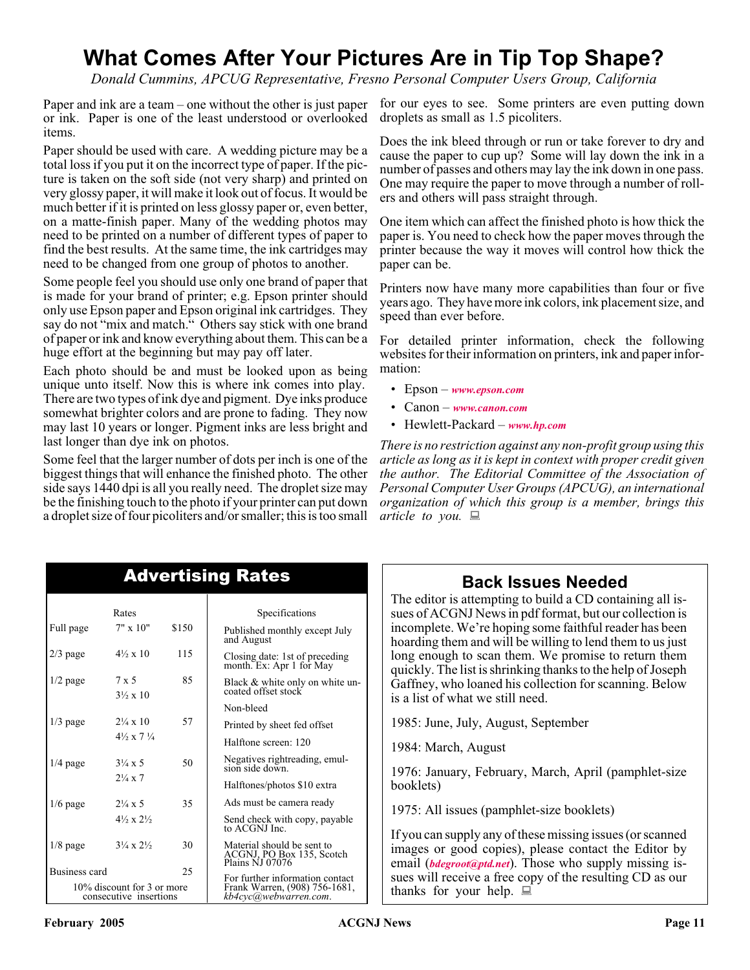## **What Comes After Your Pictures Are in Tip Top Shape?**

*Donald Cummins, APCUG Representative, Fresno Personal Computer Users Group, California*

Paper and ink are a team – one without the other is just paper or ink. Paper is one of the least understood or overlooked items.

Paper should be used with care. A wedding picture may be a total loss if you put it on the incorrect type of paper. If the picture is taken on the soft side (not very sharp) and printed on very glossy paper, it will make it look out of focus. It would be much better if it is printed on less glossy paper or, even better, on a matte-finish paper. Many of the wedding photos may need to be printed on a number of different types of paper to find the best results. At the same time, the ink cartridges may need to be changed from one group of photos to another.

Some people feel you should use only one brand of paper that is made for your brand of printer; e.g. Epson printer should only use Epson paper and Epson original ink cartridges. They say do not "mix and match." Others say stick with one brand of paper or ink and know everything about them. This can be a huge effort at the beginning but may pay off later.

Each photo should be and must be looked upon as being unique unto itself. Now this is where ink comes into play. There are two types of ink dye and pigment. Dye inks produce somewhat brighter colors and are prone to fading. They now may last 10 years or longer. Pigment inks are less bright and last longer than dye ink on photos.

Some feel that the larger number of dots per inch is one of the biggest things that will enhance the finished photo. The other side says 1440 dpi is all you really need. The droplet size may be the finishing touch to the photo if your printer can put down a droplet size of four picoliters and/or smaller; this is too small

for our eyes to see. Some printers are even putting down droplets as small as 1.5 picoliters.

Does the ink bleed through or run or take forever to dry and cause the paper to cup up? Some will lay down the ink in a number of passes and others may lay the ink down in one pass. One may require the paper to move through a number of rollers and others will pass straight through.

One item which can affect the finished photo is how thick the paper is. You need to check how the paper moves through the printer because the way it moves will control how thick the paper can be.

Printers now have many more capabilities than four or five years ago. They have more ink colors, ink placement size, and speed than ever before.

For detailed printer information, check the following websites for their information on printers, ink and paper information:

- Epson *[www.epson.com](http://www.epson.com)*
- Canon *[www.canon.com](http://www.canon.com)*
- Hewlett-Packard *[www.hp.com](http://www.hp.com)*

*There is no restriction against any non-profit group using this article as long as it is kept in context with proper credit given the author. The Editorial Committee of the Association of Personal Computer User Groups (APCUG), an international organization of which this group is a member, brings this article to you.*

| <b>Advertising Rates</b> |                                                      |       |                                                                            |  |
|--------------------------|------------------------------------------------------|-------|----------------------------------------------------------------------------|--|
|                          | Rates                                                |       | Specifications                                                             |  |
| Full page                | $7" \times 10"$                                      | \$150 | Published monthly except July<br>and August                                |  |
| $2/3$ page               | $4\frac{1}{2} \times 10$                             | 115   | Closing date: 1st of preceding<br>month. Ex: Apr 1 for May                 |  |
| $1/2$ page               | $7 \times 5$<br>$3\frac{1}{2} \times 10$             | 85    | Black & white only on white un-<br>coated offset stock                     |  |
|                          |                                                      |       | Non-bleed                                                                  |  |
| $1/3$ page               | $2\frac{1}{4} \times 10$                             | 57    | Printed by sheet fed offset                                                |  |
|                          | $4\frac{1}{2} \times 7\frac{1}{4}$                   |       | Halftone screen: 120                                                       |  |
| $1/4$ page               | $3\frac{1}{4} \times 5$                              | 50    | Negatives rightreading, emul-<br>sion side down.                           |  |
|                          | $2\frac{1}{4} \times 7$                              |       | Halftones/photos \$10 extra                                                |  |
| $1/6$ page               | $2\frac{1}{4} \times 5$                              | 35    | Ads must be camera ready                                                   |  |
|                          | $4\frac{1}{2} \times 2\frac{1}{2}$                   |       | Send check with copy, payable<br>to ACGNJ Inc.                             |  |
| $1/8$ page               | $3\frac{1}{4} \times 2\frac{1}{2}$                   | 30    | Material should be sent to<br>ACGNJ, PO Box 135, Scotch<br>Plains NJ 07076 |  |
| Business card            |                                                      | 25    | For further information contact                                            |  |
|                          | 10% discount for 3 or more<br>consecutive insertions |       | Frank Warren, (908) 756-1681,<br>kb4cyc@webwarren.com.                     |  |

### **Back Issues Needed**

The editor is attempting to build a CD containing all issues of ACGNJ News in pdf format, but our collection is incomplete. We're hoping some faithful reader has been hoarding them and will be willing to lend them to us just long enough to scan them. We promise to return them quickly. The list is shrinking thanks to the help of Joseph Gaffney, who loaned his collection for scanning. Below is a list of what we still need.

1985: June, July, August, September

1984: March, August

1976: January, February, March, April (pamphlet-size booklets)

1975: All issues (pamphlet-size booklets)

If you can supply any of these missing issues (or scanned images or good copies), please contact the Editor by email (*[bdegroot@ptd.net](mailto:bdegroot@ptd.net)*). Those who supply missing issues will receive a free copy of the resulting CD as our thanks for your help.  $\Box$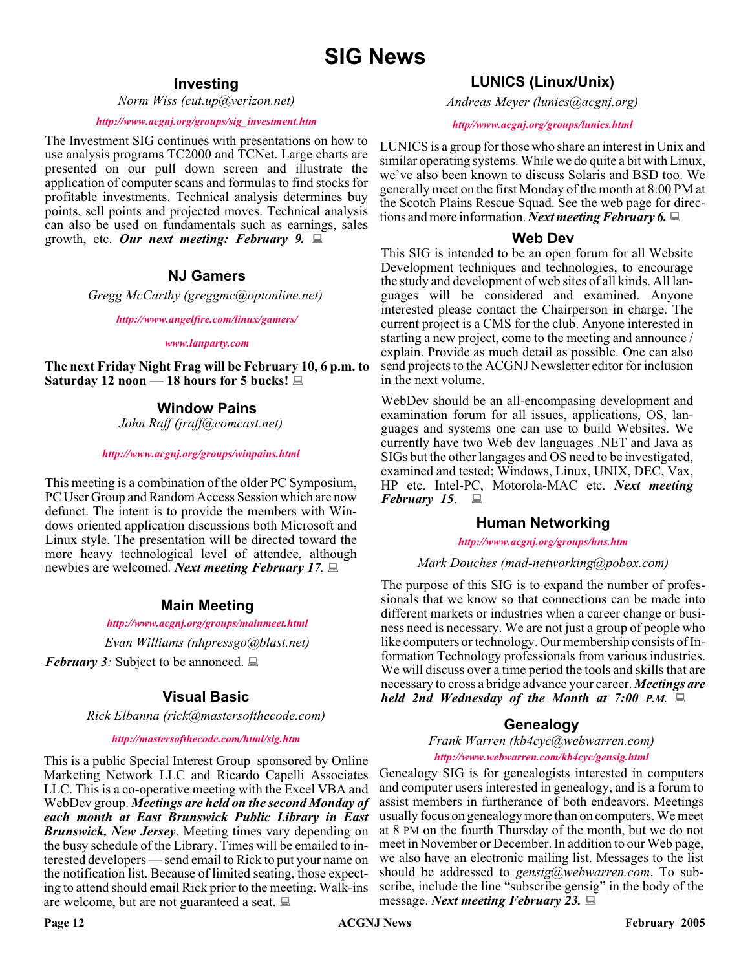#### **Investing**

*Norm Wiss (cut.up@verizon.net)*

#### *[http://www.acgnj.org/groups/sig\\_investment.htm](http://www.acgnj.org/groups/sig_investment.htm)*

The Investment SIG continues with presentations on how to use analysis programs TC2000 and TCNet. Large charts are presented on our pull down screen and illustrate the application of computer scans and formulas to find stocks for profitable investments. Technical analysis determines buy points, sell points and projected moves. Technical analysis can also be used on fundamentals such as earnings, sales growth, etc. *Our next meeting: February 9.*

#### **NJ Gamers**

*Gregg McCarthy (greggmc@optonline.net)*

*<http://www.angelfire.com/linux/gamers/>*

#### *[www.lanparty.com](http://www.lanparty.com)*

**The next Friday Night Frag will be February 10, 6 p.m. to Saturday 12 noon — 18 hours for 5 bucks!**

#### **Window Pains**

*John Raff (jraff@comcast.net)*

#### *<http://www.acgnj.org/groups/winpains.html>*

This meeting is a combination of the older PC Symposium, PC User Group and Random Access Session which are now defunct. The intent is to provide the members with Windows oriented application discussions both Microsoft and Linux style. The presentation will be directed toward the more heavy technological level of attendee, although newbies are welcomed. *Next meeting February 17.*

#### **Main Meeting**

#### *<http://www.acgnj.org/groups/mainmeet.html>*

*Evan Williams (nhpressgo@blast.net)*

*February 3:* Subject to be annonced.  $\Box$ 

#### **Visual Basic**

*Rick Elbanna (rick@mastersofthecode.com)*

#### *<http://mastersofthecode.com/html/sig.htm>*

This is a public Special Interest Group sponsored by Online Marketing Network LLC and Ricardo Capelli Associates LLC. This is a co-operative meeting with the Excel VBA and WebDev group. *Meetings are held on the second Monday of each month at East Brunswick Public Library in East Brunswick, New Jersey*. Meeting times vary depending on the busy schedule of the Library. Times will be emailed to interested developers — send email to Rick to put your name on the notification list. Because of limited seating, those expecting to attend should email Rick prior to the meeting. Walk-ins are welcome, but are not guaranteed a seat.

*Andreas Meyer (lunics@acgnj.org)*

#### *<http//www.acgnj.org/groups/lunics.html>*

LUNICS is a group for those who share an interest in Unix and similar operating systems. While we do quite a bit with Linux, we've also been known to discuss Solaris and BSD too. We generally meet on the first Monday of the month at 8:00 PM at the Scotch Plains Rescue Squad. See the web page for directions and more information. *Next meeting February 6.*

#### **Web Dev**

This SIG is intended to be an open forum for all Website Development techniques and technologies, to encourage the study and development of web sites of all kinds. All languages will be considered and examined. Anyone interested please contact the Chairperson in charge. The current project is a CMS for the club. Anyone interested in starting a new project, come to the meeting and announce / explain. Provide as much detail as possible. One can also send projects to the ACGNJ Newsletter editor for inclusion in the next volume.

WebDev should be an all-encompasing development and examination forum for all issues, applications, OS, languages and systems one can use to build Websites. We currently have two Web dev languages .NET and Java as SIGs but the other langages and OS need to be investigated, examined and tested; Windows, Linux, UNIX, DEC, Vax, HP etc. Intel-PC, Motorola-MAC etc. *Next meeting February 15*.

#### **Human Networking**

*<http://www.acgnj.org/groups/hns.htm>*

#### *Mark Douches (mad-networking@pobox.com)*

The purpose of this SIG is to expand the number of professionals that we know so that connections can be made into different markets or industries when a career change or business need is necessary. We are not just a group of people who like computers or technology. Our membership consists of Information Technology professionals from various industries. We will discuss over a time period the tools and skills that are necessary to cross a bridge advance your career. *Meetings are held 2nd Wednesday of the Month at 7:00 P.M.*

#### **Genealogy**

*Frank Warren (kb4cyc@webwarren.com) <http://www.webwarren.com/kb4cyc/gensig.html>*

Genealogy SIG is for genealogists interested in computers and computer users interested in genealogy, and is a forum to assist members in furtherance of both endeavors. Meetings usually focus on genealogy more than on computers. We meet at 8 PM on the fourth Thursday of the month, but we do not meet in November or December. In addition to our Web page, we also have an electronic mailing list. Messages to the list should be addressed to *gensig@webwarren.com*. To subscribe, include the line "subscribe gensig" in the body of the message. *Next meeting February 23.*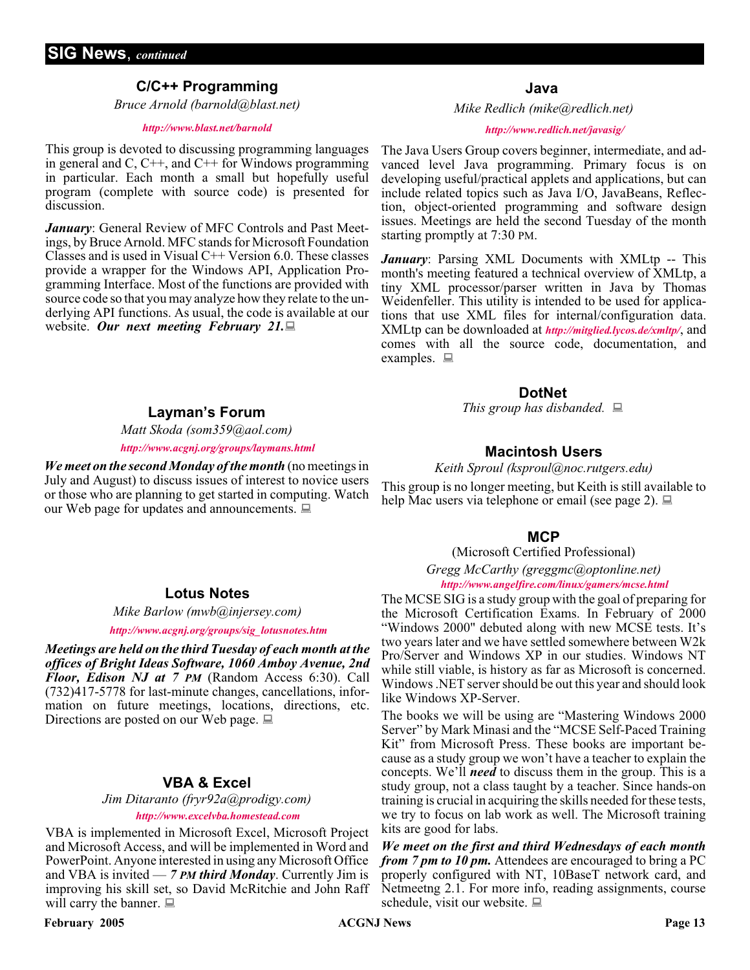#### **C/C++ Programming**

*Bruce Arnold (barnold@blast.net)*

#### *<http://www.blast.net/barnold>*

This group is devoted to discussing programming languages in general and  $C$ ,  $C++$ , and  $C++$  for Windows programming in particular. Each month a small but hopefully useful program (complete with source code) is presented for discussion.

*January*: General Review of MFC Controls and Past Meetings, by Bruce Arnold. MFC stands for Microsoft Foundation Classes and is used in Visual  $C++$  Version 6.0. These classes provide a wrapper for the Windows API, Application Programming Interface. Most of the functions are provided with source code so that you may analyze how they relate to the underlying API functions. As usual, the code is available at our website. *Our next meeting February 21.*

*Matt Skoda (som359@aol.com)*

#### *<http://www.acgnj.org/groups/laymans.html>*

*We meet on the second Monday of the month* (no meetings in July and August) to discuss issues of interest to novice users or those who are planning to get started in computing. Watch our Web page for updates and announcements.  $\Box$ 

#### **Java**

*Mike Redlich (mike@redlich.net)*

#### *<http://www.redlich.net/javasig/>*

The Java Users Group covers beginner, intermediate, and advanced level Java programming. Primary focus is on developing useful/practical applets and applications, but can include related topics such as Java I/O, JavaBeans, Reflection, object-oriented programming and software design issues. Meetings are held the second Tuesday of the month starting promptly at 7:30 PM.

*January*: Parsing XML Documents with XMLtp -- This month's meeting featured a technical overview of XMLtp, a tiny XML processor/parser written in Java by Thomas Weidenfeller. This utility is intended to be used for applications that use XML files for internal/configuration data. XMLtp can be downloaded at *<http://mitglied.lycos.de/xmltp/>*, and comes with all the source code, documentation, and examples.  $\Box$ 

#### **DotNet**

**Layman's Forum** *This group has disbanded.*

#### **Macintosh Users**

*Keith Sproul (ksproul@noc.rutgers.edu)*

This group is no longer meeting, but Keith is still available to help Mac users via telephone or email (see page 2).

#### **MCP**

(Microsoft Certified Professional)

*Gregg McCarthy (greggmc@optonline.net) <http://www.angelfire.com/linux/gamers/mcse.html>*

The MCSE SIG is a study group with the goal of preparing for the Microsoft Certification Exams. In February of 2000 "Windows 2000" debuted along with new MCSE tests. It's two years later and we have settled somewhere between W2k Pro/Server and Windows XP in our studies. Windows NT while still viable, is history as far as Microsoft is concerned. Windows .NET server should be out this year and should look like Windows XP-Server.

The books we will be using are "Mastering Windows 2000 Server" by Mark Minasi and the "MCSE Self-Paced Training Kit" from Microsoft Press. These books are important because as a study group we won't have a teacher to explain the concepts. We'll *need* to discuss them in the group. This is a study group, not a class taught by a teacher. Since hands-on training is crucial in acquiring the skills needed for these tests, we try to focus on lab work as well. The Microsoft training kits are good for labs.

*We meet on the first and third Wednesdays of each month from 7 pm to 10 pm.* Attendees are encouraged to bring a PC properly configured with NT, 10BaseT network card, and Netmeetng 2.1. For more info, reading assignments, course schedule, visit our website.  $\Box$ 

#### **Lotus Notes**

*Mike Barlow (mwb@injersey.com)*

#### *[http://www.acgnj.org/groups/sig\\_lotusnotes.htm](http://www.acgnj.org/groups/sig_lotusnotes.htm)*

*Meetings are held on the third Tuesday of each month at the offices of Bright Ideas Software, 1060 Amboy Avenue, 2nd Floor, Edison NJ at 7 PM* (Random Access 6:30). Call (732)417-5778 for last-minute changes, cancellations, information on future meetings, locations, directions, etc. Directions are posted on our Web page.  $\Box$ 

#### **VBA & Excel**

*Jim Ditaranto (fryr92a@prodigy.com) <http://www.excelvba.homestead.com>*

VBA is implemented in Microsoft Excel, Microsoft Project and Microsoft Access, and will be implemented in Word and PowerPoint. Anyone interested in using any Microsoft Office and VBA is invited — *7 PM third Monday*. Currently Jim is improving his skill set, so David McRitchie and John Raff will carry the banner.  $\Box$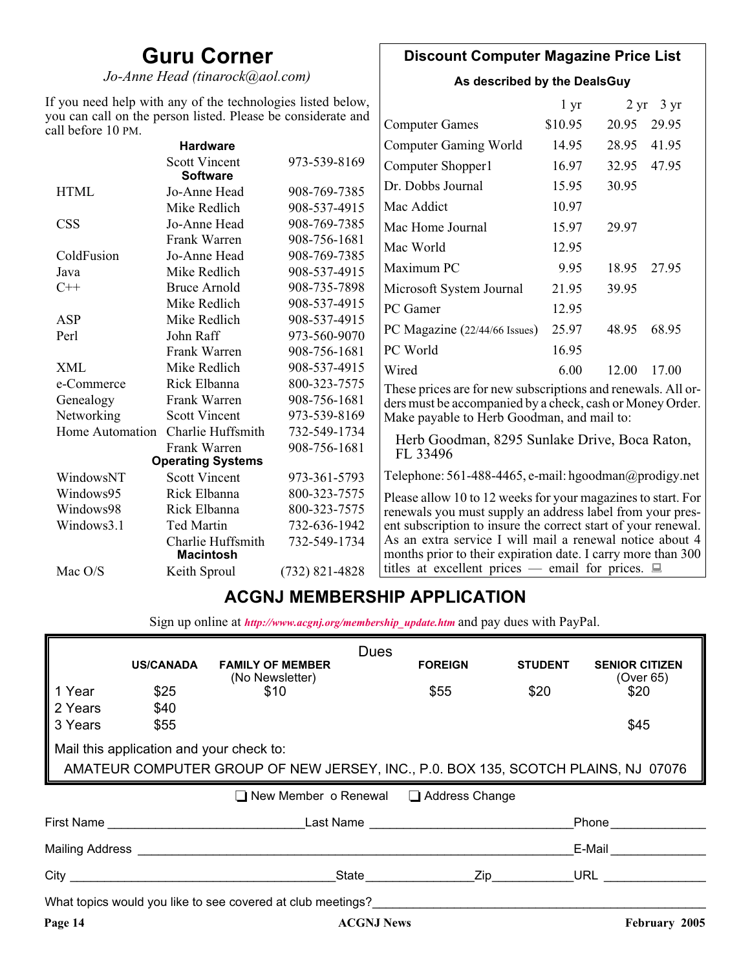### **Guru Corner**

*Jo-Anne Head (tinarock@aol.com)*

#### **Discount Computer Magazine Price List**

**As described by the DealsGuy**

| If you need help with any of the technologies listed below,<br>you can call on the person listed. Please be considerate and |                                         |                                                           |                                                                                                                          | 1 <sub>yr</sub> |       | $2 \text{ yr}$ 3 yr |
|-----------------------------------------------------------------------------------------------------------------------------|-----------------------------------------|-----------------------------------------------------------|--------------------------------------------------------------------------------------------------------------------------|-----------------|-------|---------------------|
| call before 10 PM.                                                                                                          |                                         |                                                           | <b>Computer Games</b>                                                                                                    | \$10.95         | 20.95 | 29.95               |
|                                                                                                                             | <b>Hardware</b>                         |                                                           | <b>Computer Gaming World</b>                                                                                             | 14.95           | 28.95 | 41.95               |
|                                                                                                                             | <b>Scott Vincent</b><br><b>Software</b> | 973-539-8169                                              | Computer Shopper1                                                                                                        | 16.97           | 32.95 | 47.95               |
| <b>HTML</b>                                                                                                                 | Jo-Anne Head                            | 908-769-7385                                              | Dr. Dobbs Journal                                                                                                        | 15.95           | 30.95 |                     |
|                                                                                                                             | Mike Redlich                            | 908-537-4915                                              | Mac Addict                                                                                                               | 10.97           |       |                     |
| <b>CSS</b>                                                                                                                  | Jo-Anne Head                            | 908-769-7385                                              | Mac Home Journal                                                                                                         | 15.97           | 29.97 |                     |
|                                                                                                                             | Frank Warren                            | 908-756-1681                                              | Mac World                                                                                                                | 12.95           |       |                     |
| ColdFusion                                                                                                                  | Jo-Anne Head                            | 908-769-7385                                              |                                                                                                                          |                 |       |                     |
| Java                                                                                                                        | Mike Redlich                            | 908-537-4915                                              | Maximum PC                                                                                                               | 9.95            | 18.95 | 27.95               |
| $C++$                                                                                                                       | <b>Bruce Arnold</b>                     | 908-735-7898                                              | Microsoft System Journal                                                                                                 | 21.95           | 39.95 |                     |
|                                                                                                                             | Mike Redlich                            | 908-537-4915                                              | PC Gamer                                                                                                                 | 12.95           |       |                     |
| ASP                                                                                                                         | Mike Redlich                            | 908-537-4915                                              |                                                                                                                          | 25.97           |       |                     |
| Perl                                                                                                                        | John Raff                               | 973-560-9070                                              | PC Magazine (22/44/66 Issues)                                                                                            |                 | 48.95 | 68.95               |
|                                                                                                                             | Frank Warren                            | 908-756-1681                                              | PC World                                                                                                                 | 16.95           |       |                     |
| <b>XML</b>                                                                                                                  | Mike Redlich                            | 908-537-4915                                              | Wired                                                                                                                    | 6.00            | 12.00 | 17.00               |
| e-Commerce                                                                                                                  | Rick Elbanna                            | 800-323-7575                                              | These prices are for new subscriptions and renewals. All or-                                                             |                 |       |                     |
| Frank Warren<br>908-756-1681<br>Genealogy                                                                                   |                                         | ders must be accompanied by a check, cash or Money Order. |                                                                                                                          |                 |       |                     |
| Networking                                                                                                                  | <b>Scott Vincent</b>                    | 973-539-8169                                              | Make payable to Herb Goodman, and mail to:                                                                               |                 |       |                     |
| Home Automation                                                                                                             | Charlie Huffsmith                       | 732-549-1734                                              | Herb Goodman, 8295 Sunlake Drive, Boca Raton,                                                                            |                 |       |                     |
|                                                                                                                             | Frank Warren                            | 908-756-1681                                              | FL 33496                                                                                                                 |                 |       |                     |
|                                                                                                                             | <b>Operating Systems</b>                |                                                           |                                                                                                                          |                 |       |                     |
| WindowsNT                                                                                                                   | <b>Scott Vincent</b>                    | 973-361-5793                                              | Telephone: 561-488-4465, e-mail: hgoodman@prodigy.net                                                                    |                 |       |                     |
| Windows95                                                                                                                   | Rick Elbanna                            | 800-323-7575                                              | Please allow 10 to 12 weeks for your magazines to start. For                                                             |                 |       |                     |
| Windows98                                                                                                                   | Rick Elbanna                            | 800-323-7575                                              | renewals you must supply an address label from your pres-                                                                |                 |       |                     |
| Windows3.1                                                                                                                  | <b>Ted Martin</b>                       | 732-636-1942                                              | ent subscription to insure the correct start of your renewal.                                                            |                 |       |                     |
|                                                                                                                             | Charlie Huffsmith<br><b>Macintosh</b>   | 732-549-1734                                              | As an extra service I will mail a renewal notice about 4<br>months prior to their expiration date. I carry more than 300 |                 |       |                     |
| Mac O/S                                                                                                                     | Keith Sproul                            | $(732)$ 821-4828                                          | titles at excellent prices — email for prices. $\Box$                                                                    |                 |       |                     |

### **ACGNJ MEMBERSHIP APPLICATION**

Sign up online at *[http://www.acgnj.org/membership\\_update.htm](http://www.acgnj.org/membership_update.htm )* and pay dues with PayPal.

|                                                                                   |                                          |                                                             | <b>Dues</b>                                                                                                     |                |                                    |  |  |
|-----------------------------------------------------------------------------------|------------------------------------------|-------------------------------------------------------------|-----------------------------------------------------------------------------------------------------------------|----------------|------------------------------------|--|--|
|                                                                                   | <b>US/CANADA</b>                         | <b>FAMILY OF MEMBER</b><br>(No Newsletter)                  | <b>FOREIGN</b>                                                                                                  | <b>STUDENT</b> | <b>SENIOR CITIZEN</b><br>(Over 65) |  |  |
| 1 Year                                                                            | \$25                                     | \$10                                                        | \$55                                                                                                            | \$20           | \$20                               |  |  |
| 2 Years                                                                           | \$40                                     |                                                             |                                                                                                                 |                |                                    |  |  |
| 3 Years                                                                           | \$55                                     |                                                             |                                                                                                                 |                | \$45                               |  |  |
|                                                                                   | Mail this application and your check to: |                                                             |                                                                                                                 |                |                                    |  |  |
| AMATEUR COMPUTER GROUP OF NEW JERSEY, INC., P.0. BOX 135, SCOTCH PLAINS, NJ 07076 |                                          |                                                             |                                                                                                                 |                |                                    |  |  |
|                                                                                   |                                          |                                                             |                                                                                                                 |                |                                    |  |  |
|                                                                                   |                                          |                                                             | $\Box$ New Member o Renewal $\Box$ Address Change                                                               |                |                                    |  |  |
|                                                                                   |                                          |                                                             | First Name Last Name Last Name Last Name And the Last Name of the Last Name of the Last Name of the Last Name o |                | Phone                              |  |  |
|                                                                                   |                                          |                                                             |                                                                                                                 |                | E-Mail                             |  |  |
|                                                                                   |                                          |                                                             | State <b>Zip Zip</b>                                                                                            |                | URL <b>DERIVATION</b>              |  |  |
|                                                                                   |                                          | What topics would you like to see covered at club meetings? |                                                                                                                 |                |                                    |  |  |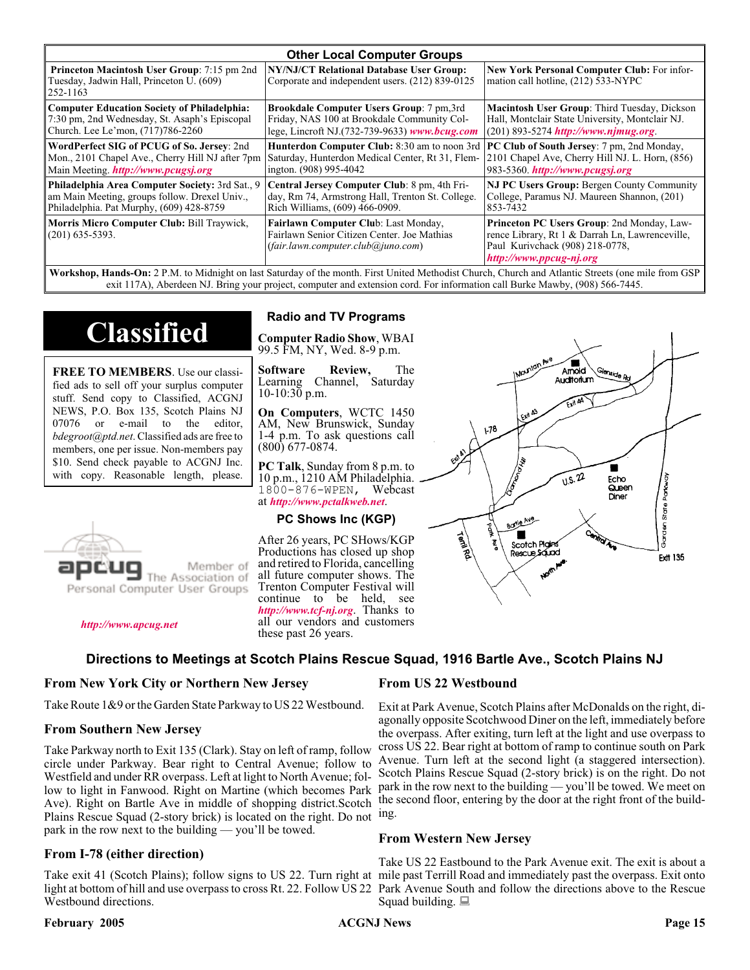| <b>Other Local Computer Groups</b>                                                                         |                                                                                                                           |                                                                                                                                                             |  |  |
|------------------------------------------------------------------------------------------------------------|---------------------------------------------------------------------------------------------------------------------------|-------------------------------------------------------------------------------------------------------------------------------------------------------------|--|--|
| <b>Princeton Macintosh User Group:</b> 7:15 pm 2nd<br>Tuesday, Jadwin Hall, Princeton U. (609)<br>252-1163 | NY/NJ/CT Relational Database User Group:<br>Corporate and independent users. (212) 839-0125                               | New York Personal Computer Club: For infor-<br>mation call hotline, (212) 533-NYPC                                                                          |  |  |
| <b>Computer Education Society of Philadelphia:</b>                                                         | <b>Brookdale Computer Users Group:</b> 7 pm, 3rd                                                                          | Macintosh User Group: Third Tuesday, Dickson                                                                                                                |  |  |
| 7:30 pm, 2nd Wednesday, St. Asaph's Episcopal                                                              | Friday, NAS 100 at Brookdale Community Col-                                                                               | Hall, Montclair State University, Montclair NJ.                                                                                                             |  |  |
| Church. Lee Le'mon, (717)786-2260                                                                          | lege, Lincroft NJ.(732-739-9633) www.bcug.com                                                                             | $(201) 893 - 5274$ http://www.njmug.org                                                                                                                     |  |  |
| WordPerfect SIG of PCUG of So. Jersey: 2nd                                                                 | <b>Hunterdon Computer Club:</b> 8:30 am to noon 3rd                                                                       | <b>PC Club of South Jersey:</b> 7 pm, 2nd Monday,                                                                                                           |  |  |
| Mon., 2101 Chapel Ave., Cherry Hill NJ after 7pm                                                           | Saturday, Hunterdon Medical Center, Rt 31, Flem-                                                                          | 2101 Chapel Ave, Cherry Hill NJ. L. Horn, (856)                                                                                                             |  |  |
| Main Meeting. <i>http://www.pcugsj.org</i>                                                                 | ington. (908) 995-4042                                                                                                    | 983-5360. http://www.pcugsj.org                                                                                                                             |  |  |
| Philadelphia Area Computer Society: 3rd Sat., 9                                                            | Central Jersey Computer Club: 8 pm, 4th Fri-                                                                              | <b>NJ PC Users Group: Bergen County Community</b>                                                                                                           |  |  |
| am Main Meeting, groups follow. Drexel Univ.,                                                              | day, Rm 74, Armstrong Hall, Trenton St. College.                                                                          | College, Paramus NJ. Maureen Shannon, (201)                                                                                                                 |  |  |
| Philadelphia. Pat Murphy, (609) 428-8759                                                                   | Rich Williams, (609) 466-0909.                                                                                            | 853-7432                                                                                                                                                    |  |  |
| Morris Micro Computer Club: Bill Traywick,<br>$(201)$ 635-5393.                                            | Fairlawn Computer Club: Last Monday,<br>Fairlawn Senior Citizen Center. Joe Mathias<br>(fair.lawn.computer.club@juno.com) | Princeton PC Users Group: 2nd Monday, Law-<br>rence Library, Rt 1 & Darrah Ln, Lawrenceville,<br>Paul Kurivchack (908) 218-0778,<br>http://www.ppcug-nj.org |  |  |

**Workshop, Hands-On:** 2 P.M. to Midnight on last Saturday of the month. First United Methodist Church, Church and Atlantic Streets (one mile from GSP exit 117A), Aberdeen NJ. Bring your project, computer and extension cord. For information call Burke Mawby, (908) 566-7445.

# **Classified**

**FREE TO MEMBERS**. Use our classified ads to sell off your surplus computer stuff. Send copy to Classified, ACGNJ NEWS, P.O. Box 135, Scotch Plains NJ 07076 or e-mail to the editor, *bdegroot@ptd.net*. Classified ads are free to members, one per issue. Non-members pay \$10. Send check payable to ACGNJ Inc. with copy. Reasonable length, please.



#### *<http://www.apcug.net>*

#### **Radio and TV Programs**

**Computer Radio Show**, WBAI 99.5 FM, NY, Wed. 8-9 p.m.

**Software Review,** The Learning Channel, Saturday 10-10:30 p.m.

**On Computers**, WCTC 1450 AM, New Brunswick, Sunday 1-4 p.m. To ask questions call (800) 677-0874.

**PC Talk**, Sunday from 8 p.m. to 10 p.m., 1210 AM Philadelphia. 1800-876-WPEN, Webcast at *<http://www.pctalkweb.net>*.

#### **PC Shows Inc (KGP)**

After 26 years, PC SHows/KGP Productions has closed up shop and retired to Florida, cancelling all future computer shows. The Trenton Computer Festival will continue to be held, see *<http://www.tcf-nj.org>*. Thanks to all our vendors and customers these past 26 years.

#### **Directions to Meetings at Scotch Plains Rescue Squad, 1916 Bartle Ave., Scotch Plains NJ**

#### **From New York City or Northern New Jersey**

Take Route 1&9 or the Garden State Parkway to US 22 Westbound.

#### **From Southern New Jersey**

Take Parkway north to Exit 135 (Clark). Stay on left of ramp, follow circle under Parkway. Bear right to Central Avenue; follow to Westfield and under RR overpass. Left at light to North Avenue; follow to light in Fanwood. Right on Martine (which becomes Park Ave). Right on Bartle Ave in middle of shopping district.Scotch Plains Rescue Squad (2-story brick) is located on the right. Do not ing. park in the row next to the building — you'll be towed.

#### **From I-78 (either direction)**

Take exit 41 (Scotch Plains); follow signs to US 22. Turn right at mile past Terrill Road and immediately past the overpass. Exit onto light at bottom of hill and use overpass to cross Rt. 22. Follow US 22 Park Avenue South and follow the directions above to the Rescue Westbound directions.

#### **February 2005 CONS Page 15 CONS Page 15 Page 15**

#### **From US 22 Westbound**

Exit at Park Avenue, Scotch Plains after McDonalds on the right, diagonally opposite Scotchwood Diner on the left, immediately before the overpass. After exiting, turn left at the light and use overpass to cross US 22. Bear right at bottom of ramp to continue south on Park Avenue. Turn left at the second light (a staggered intersection). Scotch Plains Rescue Squad (2-story brick) is on the right. Do not park in the row next to the building — you'll be towed. We meet on the second floor, entering by the door at the right front of the build-

#### **From Western New Jersey**

Take US 22 Eastbound to the Park Avenue exit. The exit is about a Squad building.  $\Box$